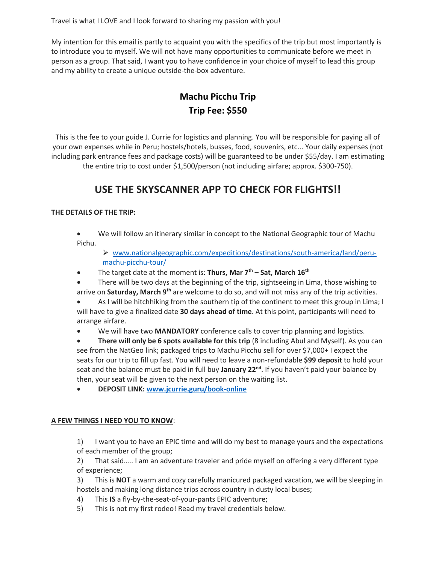Travel is what I LOVE and I look forward to sharing my passion with you!

My intention for this email is partly to acquaint you with the specifics of the trip but most importantly is to introduce you to myself. We will not have many opportunities to communicate before we meet in person as a group. That said, I want you to have confidence in your choice of myself to lead this group and my ability to create a unique outside-the-box adventure.

# **Machu Picchu Trip Trip Fee: \$550**

This is the fee to your guide J. Currie for logistics and planning. You will be responsible for paying all of your own expenses while in Peru; hostels/hotels, busses, food, souvenirs, etc... Your daily expenses (not including park entrance fees and package costs) will be guaranteed to be under \$55/day. I am estimating the entire trip to cost under \$1,500/person (not including airfare; approx. \$300-750).

# **USE THE SKYSCANNER APP TO CHECK FOR FLIGHTS!!**

### **THE DETAILS OF THE TRIP:**

• We will follow an itinerary similar in concept to the National Geographic tour of Machu Pichu.

➢ [www.nationalgeographic.com/expeditions/destinations/south-america/land/peru](http://www.nationalgeographic.com/expeditions/destinations/south-america/land/peru-machu-picchu-tour/)[machu-picchu-tour/](http://www.nationalgeographic.com/expeditions/destinations/south-america/land/peru-machu-picchu-tour/)

- The target date at the moment is: **Thurs, Mar 7th – Sat, March 16th**
- There will be two days at the beginning of the trip, sightseeing in Lima, those wishing to arrive on **Saturday, March 9th** are welcome to do so, and will not miss any of the trip activities.

• As I will be hitchhiking from the southern tip of the continent to meet this group in Lima; I will have to give a finalized date **30 days ahead of time**. At this point, participants will need to arrange airfare.

• We will have two **MANDATORY** conference calls to cover trip planning and logistics.

• **There will only be 6 spots available for this trip** (8 including Abul and Myself). As you can see from the NatGeo link; packaged trips to Machu Picchu sell for over \$7,000+ I expect the seats for our trip to fill up fast. You will need to leave a non-refundable **\$99 deposit** to hold your seat and the balance must be paid in full buy **January 22nd**. If you haven't paid your balance by then, your seat will be given to the next person on the waiting list.

• **DEPOSIT LINK: [www.jcurrie.guru/book-online](http://www.jcurrie.guru/book-online)**

#### **A FEW THINGS I NEED YOU TO KNOW**:

1) I want you to have an EPIC time and will do my best to manage yours and the expectations of each member of the group;

2) That said….. I am an adventure traveler and pride myself on offering a very different type of experience;

3) This is **NOT** a warm and cozy carefully manicured packaged vacation, we will be sleeping in hostels and making long distance trips across country in dusty local buses;

- 4) This **IS** a fly-by-the-seat-of-your-pants EPIC adventure;
- 5) This is not my first rodeo! Read my travel credentials below.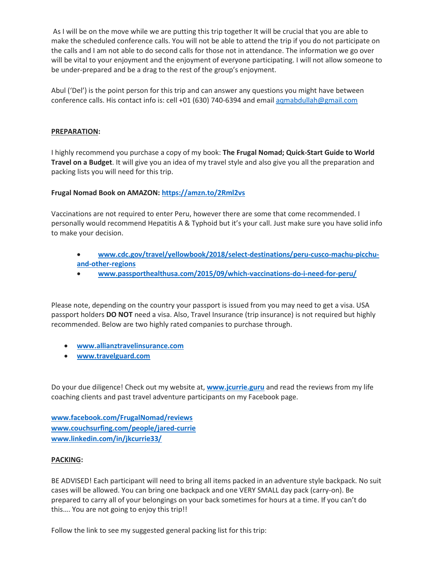As I will be on the move while we are putting this trip together It will be crucial that you are able to make the scheduled conference calls. You will not be able to attend the trip if you do not participate on the calls and I am not able to do second calls for those not in attendance. The information we go over will be vital to your enjoyment and the enjoyment of everyone participating. I will not allow someone to be under-prepared and be a drag to the rest of the group's enjoyment.

Abul ('Del') is the point person for this trip and can answer any questions you might have between conference calls. His contact info is: cell +01 (630) 740-6394 and email [aqmabdullah@gmail.com](mailto:aqmabdullah@gmail.com)

#### **PREPARATION:**

I highly recommend you purchase a copy of my book: **The Frugal Nomad; Quick-Start Guide to World Travel on a Budget**. It will give you an idea of my travel style and also give you all the preparation and packing lists you will need for this trip.

#### **Frugal Nomad Book on AMAZON: <https://amzn.to/2Rml2vs>**

Vaccinations are not required to enter Peru, however there are some that come recommended. I personally would recommend Hepatitis A & Typhoid but it's your call. Just make sure you have solid info to make your decision.

- **[www.cdc.gov/travel/yellowbook/2018/select-destinations/peru-cusco-machu-picchu](http://www.cdc.gov/travel/yellowbook/2018/select-destinations/peru-cusco-machu-picchu-and-other-regions)[and-other-regions](http://www.cdc.gov/travel/yellowbook/2018/select-destinations/peru-cusco-machu-picchu-and-other-regions)**
- **[www.passporthealthusa.com/2015/09/which-vaccinations-do-i-need-for-peru/](http://www.passporthealthusa.com/2015/09/which-vaccinations-do-i-need-for-peru/)**

Please note, depending on the country your passport is issued from you may need to get a visa. USA passport holders **DO NOT** need a visa. Also, Travel Insurance (trip insurance) is not required but highly recommended. Below are two highly rated companies to purchase through.

- **[www.allianztravelinsurance.com](http://www.allianztravelinsurance.com/)**
- **[www.travelguard.com](http://www.travelguard.com/)**

Do your due diligence! Check out my website at, **[www.jcurrie.guru](http://www.jcurrie.guru/)** and read the reviews from my life coaching clients and past travel adventure participants on my Facebook page.

**[www.facebook.com/FrugalNomad/reviews](http://www.facebook.com/FrugalNomad/reviews) [www.couchsurfing.com/people/jared-currie](http://www.couchsurfing.com/people/jared-currie) [www.linkedin.com/in/jkcurrie33/](http://www.linkedin.com/in/jkcurrie33/)**

#### **PACKING:**

BE ADVISED! Each participant will need to bring all items packed in an adventure style backpack. No suit cases will be allowed. You can bring one backpack and one VERY SMALL day pack (carry-on). Be prepared to carry all of your belongings on your back sometimes for hours at a time. If you can't do this…. You are not going to enjoy this trip!!

Follow the link to see my suggested general packing list for this trip: